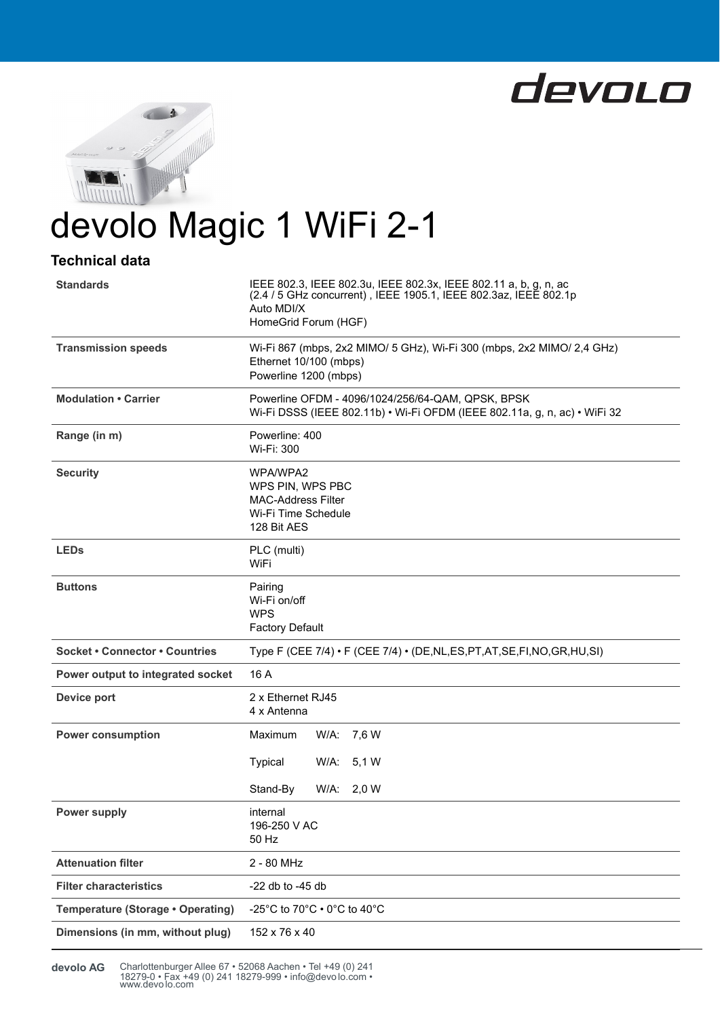



# devolo Magic 1 WiFi 2-1

## **Technical data**

| <b>Standards</b>                      | IEEE 802.3, IEEE 802.3u, IEEE 802.3x, IEEE 802.11 a, b, g, n, ac<br>(2.4 / 5 GHz concurrent), IEEE 1905.1, IEEE 802.3az, IEEE 802.1p<br>Auto MDI/X<br>HomeGrid Forum (HGF) |  |  |
|---------------------------------------|----------------------------------------------------------------------------------------------------------------------------------------------------------------------------|--|--|
| <b>Transmission speeds</b>            | Wi-Fi 867 (mbps, 2x2 MIMO/ 5 GHz), Wi-Fi 300 (mbps, 2x2 MIMO/ 2,4 GHz)<br>Ethernet 10/100 (mbps)<br>Powerline 1200 (mbps)                                                  |  |  |
| <b>Modulation • Carrier</b>           | Powerline OFDM - 4096/1024/256/64-QAM, QPSK, BPSK<br>Wi-Fi DSSS (IEEE 802.11b) • Wi-Fi OFDM (IEEE 802.11a, g, n, ac) • WiFi 32                                             |  |  |
| Range (in m)                          | Powerline: 400<br>Wi-Fi: 300                                                                                                                                               |  |  |
| <b>Security</b>                       | WPA/WPA2<br>WPS PIN, WPS PBC<br><b>MAC-Address Filter</b><br>Wi-Fi Time Schedule<br>128 Bit AES                                                                            |  |  |
| <b>LEDs</b>                           | PLC (multi)<br>WiFi                                                                                                                                                        |  |  |
| <b>Buttons</b>                        | Pairing<br>Wi-Fi on/off<br><b>WPS</b><br><b>Factory Default</b>                                                                                                            |  |  |
| <b>Socket • Connector • Countries</b> | Type F (CEE 7/4) • F (CEE 7/4) • (DE, NL, ES, PT, AT, SE, FI, NO, GR, HU, SI)                                                                                              |  |  |
| Power output to integrated socket     | 16 A                                                                                                                                                                       |  |  |
| Device port                           | 2 x Ethernet RJ45<br>4 x Antenna                                                                                                                                           |  |  |
| <b>Power consumption</b>              | Maximum<br>W/A: 7,6 W                                                                                                                                                      |  |  |
|                                       | <b>Typical</b><br>W/A:<br>5,1 W                                                                                                                                            |  |  |
|                                       | Stand-By<br>$W/A$ :<br>2,0 W                                                                                                                                               |  |  |
| <b>Power supply</b>                   | internal<br>196-250 V AC<br>50 Hz                                                                                                                                          |  |  |
| <b>Attenuation filter</b>             | 2 - 80 MHz                                                                                                                                                                 |  |  |
| <b>Filter characteristics</b>         | -22 db to -45 db                                                                                                                                                           |  |  |
| Temperature (Storage . Operating)     | -25°C to 70°C $\cdot$ 0°C to 40°C                                                                                                                                          |  |  |
| Dimensions (in mm, without plug)      | 152 x 76 x 40                                                                                                                                                              |  |  |

Charlottenburger Allee 67 • 52068 Aachen • Tel +49 (0) 241 18279-0 • Fax +49 (0) 241 18279-999 • info@devo lo.com • www.devo lo.com **devolo AG**